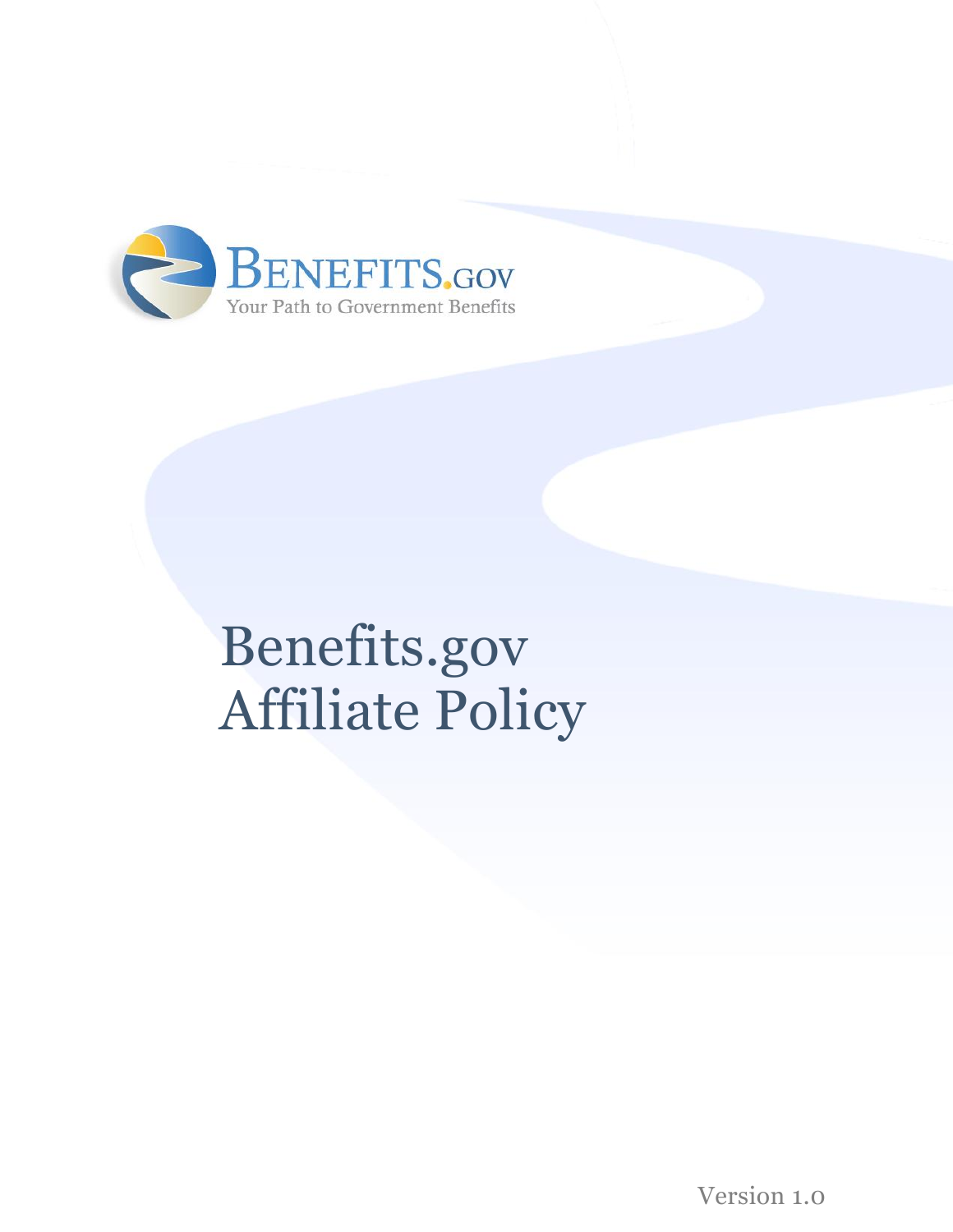

# Benefits.gov Affiliate Policy

Version 1.0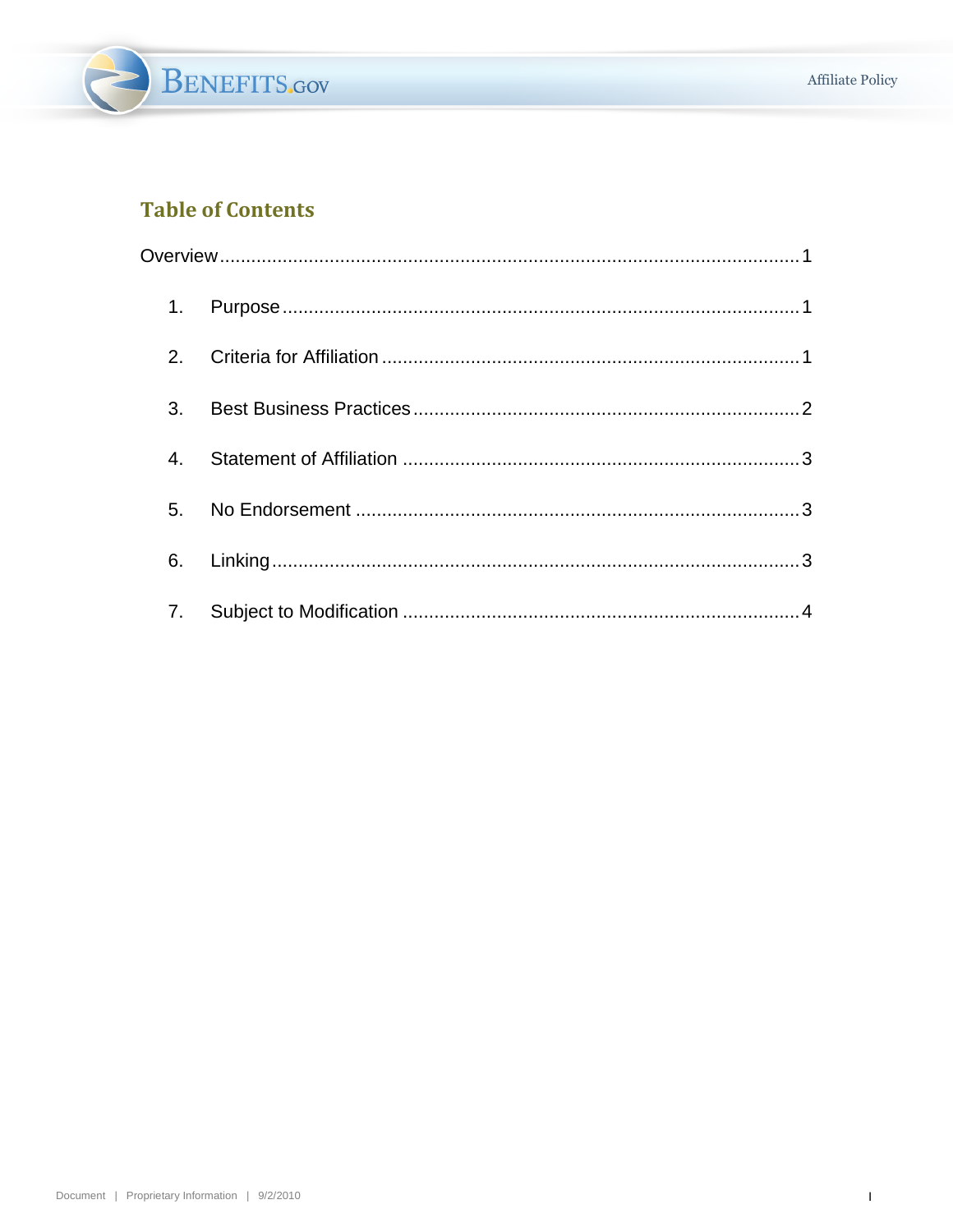

#### **Table of Contents**

| 1.             |  |
|----------------|--|
| 2 <sub>1</sub> |  |
| 3.             |  |
| 4.             |  |
|                |  |
| 6.             |  |
| 7.             |  |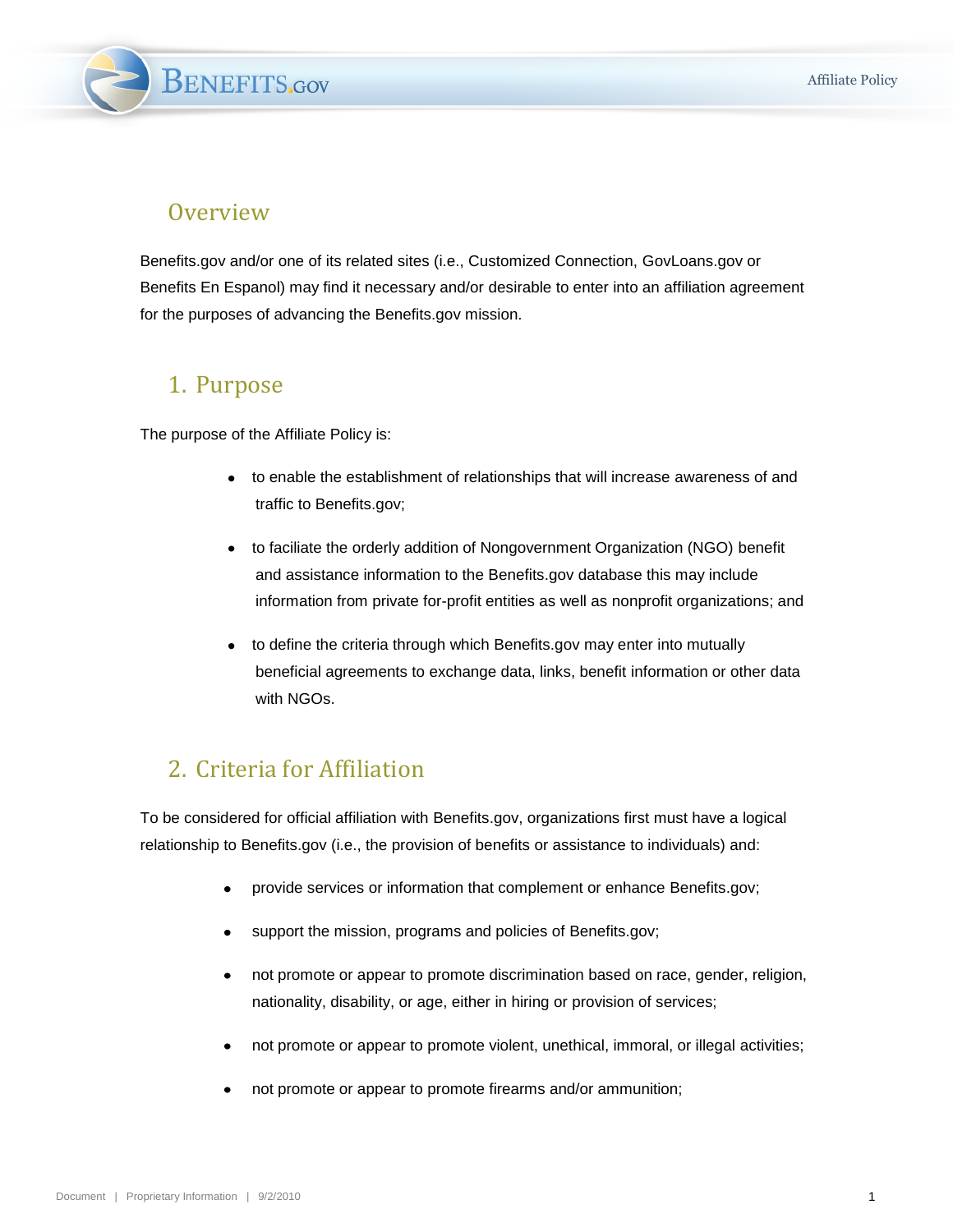**BENEFITS.GOV** 

#### <span id="page-2-0"></span>**Overview**

Benefits.gov and/or one of its related sites (i.e., Customized Connection, GovLoans.gov or Benefits En Espanol) may find it necessary and/or desirable to enter into an affiliation agreement for the purposes of advancing the Benefits.gov mission.

#### <span id="page-2-1"></span>1. Purpose

The purpose of the Affiliate Policy is:

- to enable the establishment of relationships that will increase awareness of and traffic to Benefits.gov;
- to faciliate the orderly addition of Nongovernment Organization (NGO) benefit and assistance information to the Benefits.gov database this may include information from private for-profit entities as well as nonprofit organizations; and
- to define the criteria through which Benefits.gov may enter into mutually beneficial agreements to exchange data, links, benefit information or other data with NGOs.

## <span id="page-2-2"></span>2. Criteria for Affiliation

To be considered for official affiliation with Benefits.gov, organizations first must have a logical relationship to Benefits.gov (i.e., the provision of benefits or assistance to individuals) and:

- provide services or information that complement or enhance Benefits.gov;
- support the mission, programs and policies of Benefits.gov;
- not promote or appear to promote discrimination based on race, gender, religion, nationality, disability, or age, either in hiring or provision of services;
- not promote or appear to promote violent, unethical, immoral, or illegal activities;
- not promote or appear to promote firearms and/or ammunition;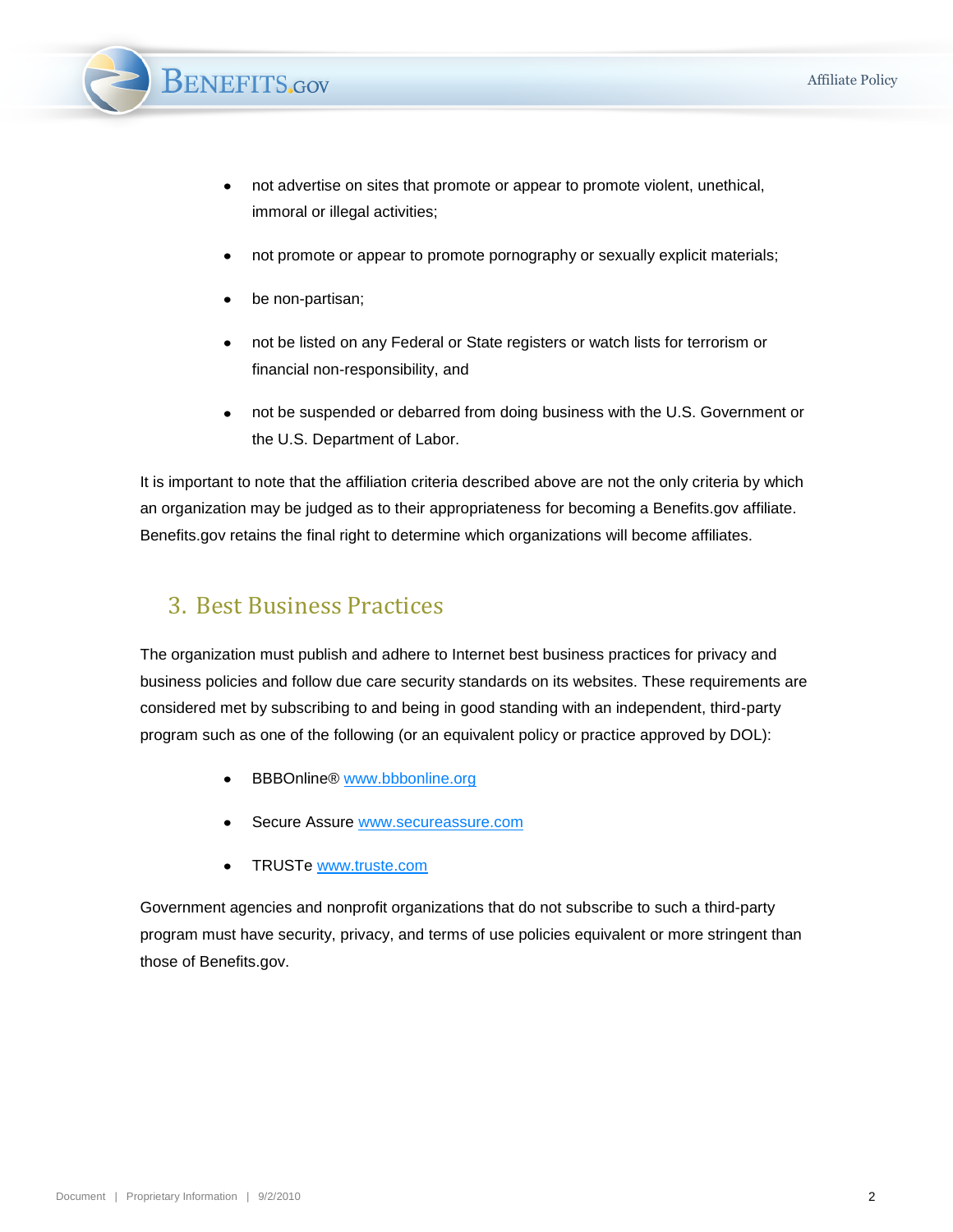

- not advertise on sites that promote or appear to promote violent, unethical, immoral or illegal activities;
- not promote or appear to promote pornography or sexually explicit materials;
- be non-partisan;
- not be listed on any Federal or State registers or watch lists for terrorism or financial non-responsibility, and
- not be suspended or debarred from doing business with the U.S. Government or the U.S. Department of Labor.

It is important to note that the affiliation criteria described above are not the only criteria by which an organization may be judged as to their appropriateness for becoming a Benefits.gov affiliate. Benefits.gov retains the final right to determine which organizations will become affiliates.

#### <span id="page-3-0"></span>3. Best Business Practices

The organization must publish and adhere to Internet best business practices for privacy and business policies and follow due care security standards on its websites. These requirements are considered met by subscribing to and being in good standing with an independent, third-party program such as one of the following (or an equivalent policy or practice approved by DOL):

- BBBOnline® [www.bbbonline.org](http://www.bbbonline.org/)
- Secure Assure [www.secureassure.com](http://www.secureassure.com/)
- TRUSTe www.truste.com

Government agencies and nonprofit organizations that do not subscribe to such a third-party program must have security, privacy, and terms of use policies equivalent or more stringent than those of Benefits.gov.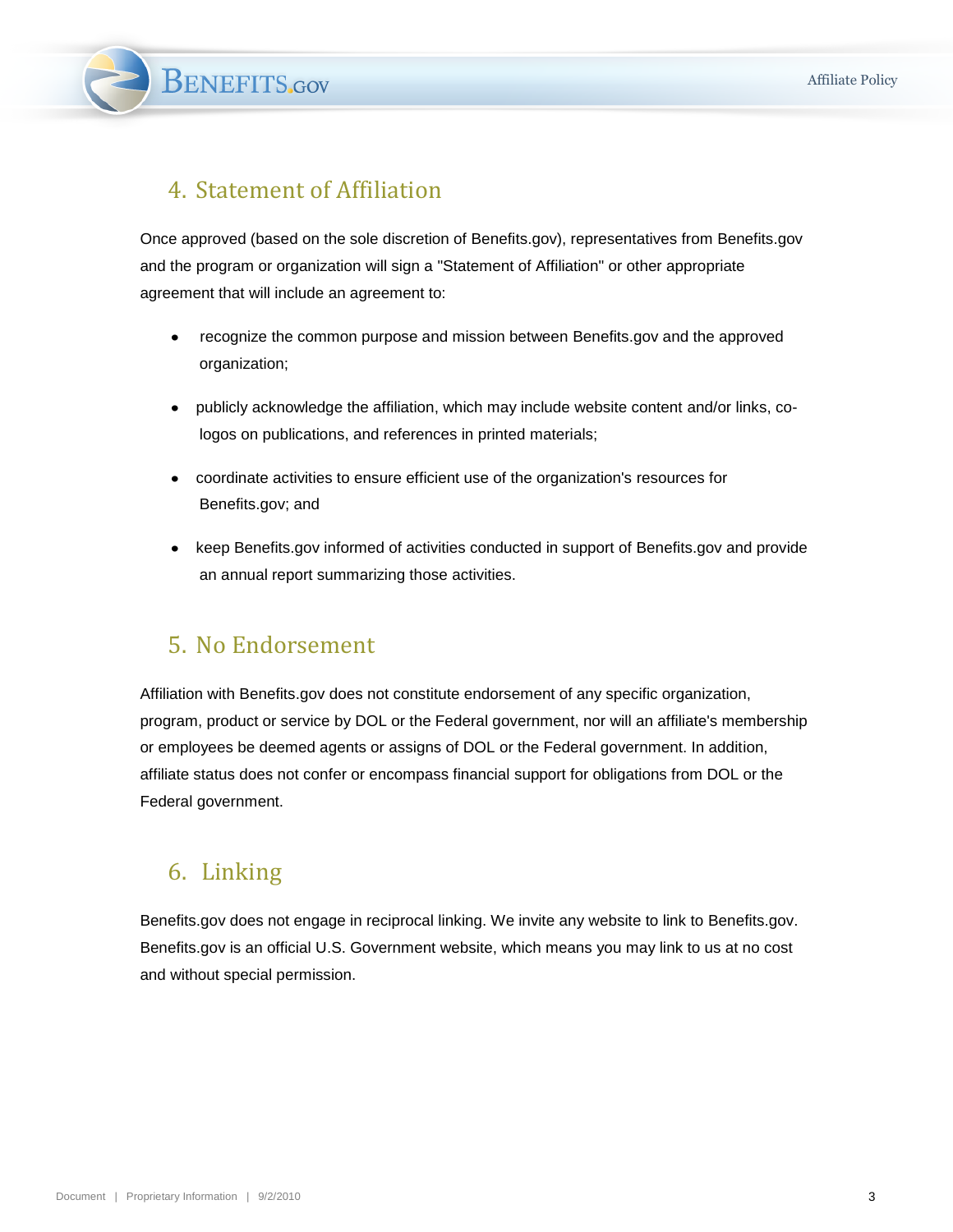**BENEFITS.GOV** 

### <span id="page-4-0"></span>4. Statement of Affiliation

Once approved (based on the sole discretion of Benefits.gov), representatives from Benefits.gov and the program or organization will sign a "Statement of Affiliation" or other appropriate agreement that will include an agreement to:

- recognize the common purpose and mission between Benefits.gov and the approved  $\bullet$ organization;
- $\bullet$ publicly acknowledge the affiliation, which may include website content and/or links, cologos on publications, and references in printed materials;
- coordinate activities to ensure efficient use of the organization's resources for Benefits.gov; and
- keep Benefits.gov informed of activities conducted in support of Benefits.gov and provide an annual report summarizing those activities.

#### <span id="page-4-1"></span>5. No Endorsement

Affiliation with Benefits.gov does not constitute endorsement of any specific organization, program, product or service by DOL or the Federal government, nor will an affiliate's membership or employees be deemed agents or assigns of DOL or the Federal government. In addition, affiliate status does not confer or encompass financial support for obligations from DOL or the Federal government.

## <span id="page-4-2"></span>6. Linking

Benefits.gov does not engage in reciprocal linking. We invite any website to link to Benefits.gov. Benefits.gov is an official U.S. Government website, which means you may link to us at no cost and without special permission.